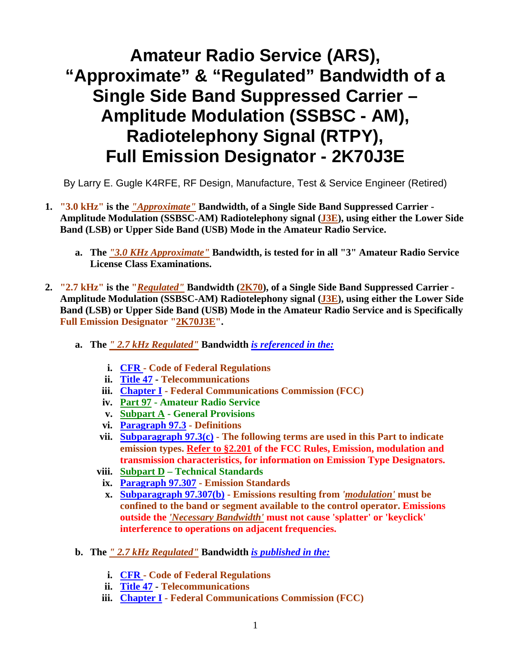## **Amateur Radio Service (ARS), "Approximate" & "Regulated" Bandwidth of a Single Side Band Suppressed Carrier – Amplitude Modulation (SSBSC - AM), Radiotelephony Signal (RTPY), Full Emission Designator - 2K70J3E**

By Larry E. Gugle K4RFE, RF Design, Manufacture, Test & Service Engineer (Retired)

- **1. "3.0 kHz" is the** *"Approximate"* **Bandwidth, of a Single Side Band Suppressed Carrier Amplitude Modulation (SSBSC-AM) Radiotelephony signal (J3E), using either the Lower Side Band (LSB) or Upper Side Band (USB) Mode in the Amateur Radio Service.** 
	- **a. The** *"3.0 KHz Approximate"* **Bandwidth, is tested for in all "3" Amateur Radio Service License Class Examinations.**
- **2. "2.7 kHz" is the "***Regulated"* **Bandwidth (2K70), of a Single Side Band Suppressed Carrier Amplitude Modulation (SSBSC-AM) Radiotelephony signal (J3E), using either the Lower Side Band (LSB) or Upper Side Band (USB) Mode in the Amateur Radio Service and is Specifically Full Emission Designator "2K70J3E".** 
	- **a. The** *" 2.7 kHz Regulated"* **Bandwidth** *is referenced in the:*
		- **i. CFR Code of Federal Regulations**
		- **ii. Title 47 Telecommunications**
		- **iii. Chapter I Federal Communications Commission (FCC)**
		- **iv. Part 97 Amateur Radio Service**
		- **v. Subpart A General Provisions**
		- **vi. Paragraph 97.3 Definitions**
		- **vii. Subparagraph 97.3(c) The following terms are used in this Part to indicate emission types. Refer to §2.201 of the FCC Rules, Emission, modulation and transmission characteristics, for information on Emission Type Designators.**
		- **viii. Subpart D Technical Standards** 
			- **ix. Paragraph 97.307 Emission Standards**
			- **x. Subparagraph 97.307(b) Emissions resulting from** *'modulation'* **must be confined to the band or segment available to the control operator. Emissions outside the** *'Necessary Bandwidth'* **must not cause 'splatter' or 'keyclick' interference to operations on adjacent frequencies.**
	- **b. The** *" 2.7 kHz Regulated"* **Bandwidth** *is published in the:*
		- **i. CFR Code of Federal Regulations**
		- **ii. Title 47 Telecommunications**
		- **iii. Chapter I Federal Communications Commission (FCC)**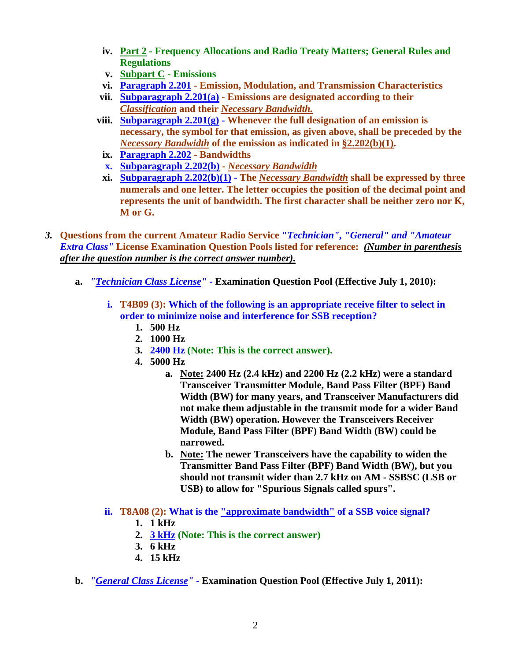- **iv. Part 2 Frequency Allocations and Radio Treaty Matters; General Rules and Regulations**
- **v. Subpart C Emissions**
- **vi. Paragraph 2.201 Emission, Modulation, and Transmission Characteristics**
- **vii. Subparagraph 2.201(a) Emissions are designated according to their**  *Classification* **and their** *Necessary Bandwidth.*
- **viii. Subparagraph 2.201(g) Whenever the full designation of an emission is necessary, the symbol for that emission, as given above, shall be preceded by the**  *Necessary Bandwidth* **of the emission as indicated in §2.202(b)(1).**
	- **ix. Paragraph 2.202 Bandwidths**
	- **x. Subparagraph 2.202(b)** *Necessary Bandwidth*
	- **xi. Subparagraph 2.202(b)(1) The** *Necessary Bandwidth* **shall be expressed by three numerals and one letter. The letter occupies the position of the decimal point and represents the unit of bandwidth. The first character shall be neither zero nor K, M or G.**
- *3.* **Questions from the current Amateur Radio Service "***Technician", "General" and "Amateur Extra Class"* **License Examination Question Pools listed for reference:** *(Number in parenthesis after the question number is the correct answer number).*
	- **a.** *"Technician Class License"*  **Examination Question Pool (Effective July 1, 2010):** 
		- **i. T4B09 (3): Which of the following is an appropriate receive filter to select in order to minimize noise and interference for SSB reception?** 
			- **1. 500 Hz**
			- **2. 1000 Hz**
			- **3. 2400 Hz (Note: This is the correct answer).**
			- **4. 5000 Hz** 
				- **a. Note: 2400 Hz (2.4 kHz) and 2200 Hz (2.2 kHz) were a standard Transceiver Transmitter Module, Band Pass Filter (BPF) Band Width (BW) for many years, and Transceiver Manufacturers did not make them adjustable in the transmit mode for a wider Band Width (BW) operation. However the Transceivers Receiver Module, Band Pass Filter (BPF) Band Width (BW) could be narrowed.**
				- **b. Note: The newer Transceivers have the capability to widen the Transmitter Band Pass Filter (BPF) Band Width (BW), but you should not transmit wider than 2.7 kHz on AM - SSBSC (LSB or USB) to allow for "Spurious Signals called spurs".**
		- **ii. T8A08 (2): What is the "approximate bandwidth" of a SSB voice signal?** 
			- **1. 1 kHz**
			- **2. 3 kHz (Note: This is the correct answer)**
			- **3. 6 kHz**
			- **4. 15 kHz**
	- **b.** *"General Class License"* **Examination Question Pool (Effective July 1, 2011):**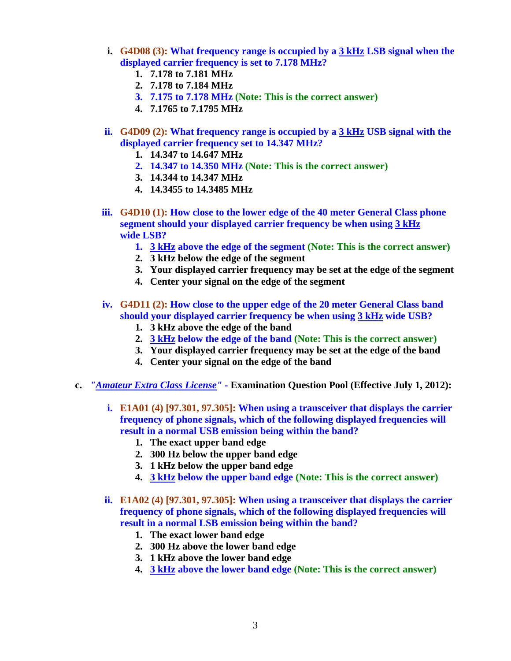- **i. G4D08 (3): What frequency range is occupied by a 3 kHz LSB signal when the displayed carrier frequency is set to 7.178 MHz?** 
	- **1. 7.178 to 7.181 MHz**
	- **2. 7.178 to 7.184 MHz**
	- **3. 7.175 to 7.178 MHz (Note: This is the correct answer)**
	- **4. 7.1765 to 7.1795 MHz**
- **ii. G4D09 (2): What frequency range is occupied by a 3 kHz USB signal with the displayed carrier frequency set to 14.347 MHz?** 
	- **1. 14.347 to 14.647 MHz**
	- **2. 14.347 to 14.350 MHz (Note: This is the correct answer)**
	- **3. 14.344 to 14.347 MHz**
	- **4. 14.3455 to 14.3485 MHz**
- **iii. G4D10 (1): How close to the lower edge of the 40 meter General Class phone segment should your displayed carrier frequency be when using 3 kHz wide LSB?** 
	- **1. 3 kHz above the edge of the segment (Note: This is the correct answer)**
	- **2. 3 kHz below the edge of the segment**
	- **3. Your displayed carrier frequency may be set at the edge of the segment**
	- **4. Center your signal on the edge of the segment**
- **iv. G4D11 (2): How close to the upper edge of the 20 meter General Class band should your displayed carrier frequency be when using 3 kHz wide USB?** 
	- **1. 3 kHz above the edge of the band**
	- **2. 3 kHz below the edge of the band (Note: This is the correct answer)**
	- **3. Your displayed carrier frequency may be set at the edge of the band**
	- **4. Center your signal on the edge of the band**
- **c.** *"Amateur Extra Class License"* **Examination Question Pool (Effective July 1, 2012):** 
	- **i. E1A01 (4) [97.301, 97.305]: When using a transceiver that displays the carrier frequency of phone signals, which of the following displayed frequencies will result in a normal USB emission being within the band?** 
		- **1. The exact upper band edge**
		- **2. 300 Hz below the upper band edge**
		- **3. 1 kHz below the upper band edge**
		- **4. 3 kHz below the upper band edge (Note: This is the correct answer)**
	- **ii. E1A02 (4) [97.301, 97.305]: When using a transceiver that displays the carrier frequency of phone signals, which of the following displayed frequencies will result in a normal LSB emission being within the band?** 
		- **1. The exact lower band edge**
		- **2. 300 Hz above the lower band edge**
		- **3. 1 kHz above the lower band edge**
		- **4. 3 kHz above the lower band edge (Note: This is the correct answer)**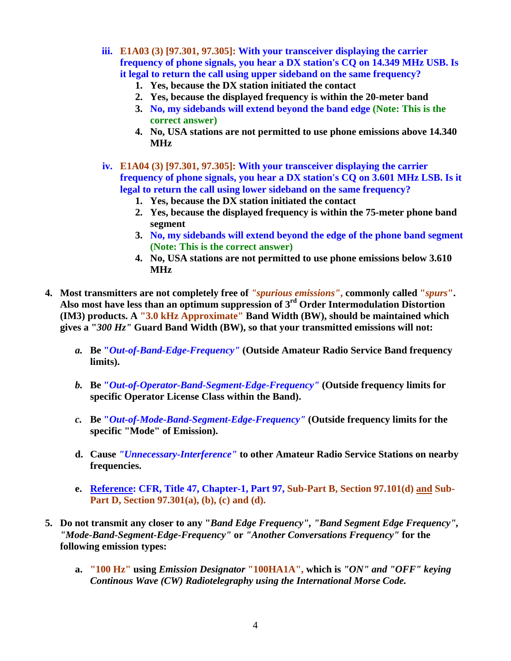- **iii. E1A03 (3) [97.301, 97.305]: With your transceiver displaying the carrier frequency of phone signals, you hear a DX station's CQ on 14.349 MHz USB. Is it legal to return the call using upper sideband on the same frequency?** 
	- **1. Yes, because the DX station initiated the contact**
	- **2. Yes, because the displayed frequency is within the 20-meter band**
	- **3. No, my sidebands will extend beyond the band edge (Note: This is the correct answer)**
	- **4. No, USA stations are not permitted to use phone emissions above 14.340 MHz**
- **iv. E1A04 (3) [97.301, 97.305]: With your transceiver displaying the carrier frequency of phone signals, you hear a DX station's CQ on 3.601 MHz LSB. Is it legal to return the call using lower sideband on the same frequency?** 
	- **1. Yes, because the DX station initiated the contact**
	- **2. Yes, because the displayed frequency is within the 75-meter phone band segment**
	- **3. No, my sidebands will extend beyond the edge of the phone band segment (Note: This is the correct answer)**
	- **4. No, USA stations are not permitted to use phone emissions below 3.610 MHz**
- **4. Most transmitters are not completely free of** *"spurious emissions"***, commonly called "***spurs***". Also most have less than an optimum suppression of 3rd Order Intermodulation Distortion (IM3) products. A "3.0 kHz Approximate" Band Width (BW), should be maintained which gives a "***300 Hz"* **Guard Band Width (BW), so that your transmitted emissions will not:** 
	- *a.* **Be "***Out-of-Band-Edge-Frequency"* **(Outside Amateur Radio Service Band frequency limits).**
	- *b.* **Be "***Out-of-Operator-Band-Segment-Edge-Frequency"* **(Outside frequency limits for specific Operator License Class within the Band).**
	- *c.* **Be "***Out-of-Mode-Band-Segment-Edge-Frequency"* **(Outside frequency limits for the specific "Mode" of Emission).**
	- **d. Cause** *"Unnecessary-Interference"* **to other Amateur Radio Service Stations on nearby frequencies.**
	- **e. Reference: CFR, Title 47, Chapter-1, Part 97, Sub-Part B, Section 97.101(d) and Sub-Part D, Section 97.301(a), (b), (c) and (d).**
- **5. Do not transmit any closer to any "***Band Edge Frequency", "Band Segment Edge Frequency", "Mode-Band-Segment-Edge-Frequency"* **or** *"Another Conversations Frequency"* **for the following emission types:** 
	- **a. "100 Hz" using** *Emission Designator* **"100HA1A", which is** *"ON" and "OFF" keying Continous Wave (CW) Radiotelegraphy using the International Morse Code.*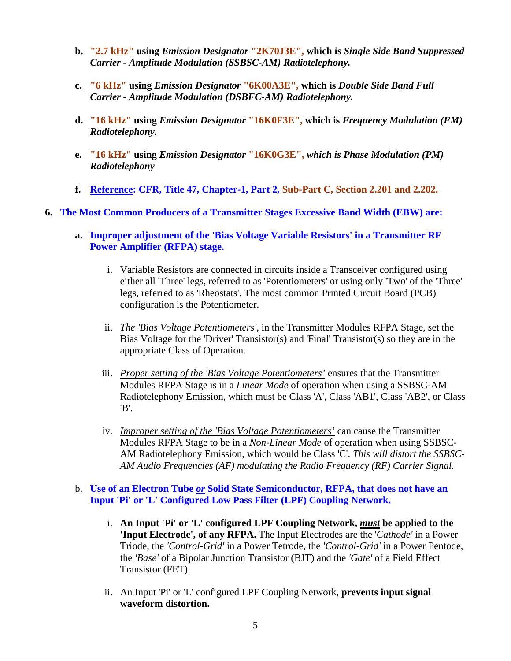- **b. "2.7 kHz" using** *Emission Designator* **"2K70J3E", which is** *Single Side Band Suppressed Carrier - Amplitude Modulation (SSBSC-AM) Radiotelephony.*
- **c. "6 kHz" using** *Emission Designator* **"6K00A3E", which is** *Double Side Band Full Carrier - Amplitude Modulation (DSBFC-AM) Radiotelephony.*
- **d. "16 kHz" using** *Emission Designator* **"16K0F3E", which is** *Frequency Modulation (FM) Radiotelephony.*
- **e. "16 kHz" using** *Emission Designator* **"16K0G3E",** *which is Phase Modulation (PM) Radiotelephony*
- **f. Reference: CFR, Title 47, Chapter-1, Part 2, Sub-Part C, Section 2.201 and 2.202.**

## **6. The Most Common Producers of a Transmitter Stages Excessive Band Width (EBW) are:**

- **a. Improper adjustment of the 'Bias Voltage Variable Resistors' in a Transmitter RF Power Amplifier (RFPA) stage.** 
	- i. Variable Resistors are connected in circuits inside a Transceiver configured using either all 'Three' legs, referred to as 'Potentiometers' or using only 'Two' of the 'Three' legs, referred to as 'Rheostats'. The most common Printed Circuit Board (PCB) configuration is the Potentiometer.
	- ii. *The 'Bias Voltage Potentiometers',* in the Transmitter Modules RFPA Stage, set the Bias Voltage for the 'Driver' Transistor(s) and 'Final' Transistor(s) so they are in the appropriate Class of Operation.
	- iii. *Proper setting of the 'Bias Voltage Potentiometers'* ensures that the Transmitter Modules RFPA Stage is in a *Linear Mode* of operation when using a SSBSC-AM Radiotelephony Emission, which must be Class 'A', Class 'AB1', Class 'AB2', or Class 'B'.
	- iv. *Improper setting of the 'Bias Voltage Potentiometers'* can cause the Transmitter Modules RFPA Stage to be in a *Non-Linear Mode* of operation when using SSBSC-AM Radiotelephony Emission, which would be Class 'C'. *This will distort the SSBSC-AM Audio Frequencies (AF) modulating the Radio Frequency (RF) Carrier Signal.*

## b. **Use of an Electron Tube** *or* **Solid State Semiconductor, RFPA, that does not have an Input 'Pi' or 'L' Configured Low Pass Filter (LPF) Coupling Network.**

- i. **An Input 'Pi' or 'L' configured LPF Coupling Network,** *must* **be applied to the 'Input Electrode', of any RFPA.** The Input Electrodes are the '*Cathode'* in a Power Triode, the *'Control-Grid'* in a Power Tetrode, the *'Control-Grid'* in a Power Pentode, the *'Base'* of a Bipolar Junction Transistor (BJT) and the *'Gate'* of a Field Effect Transistor (FET).
- ii. An Input 'Pi' or 'L' configured LPF Coupling Network, **prevents input signal waveform distortion.**